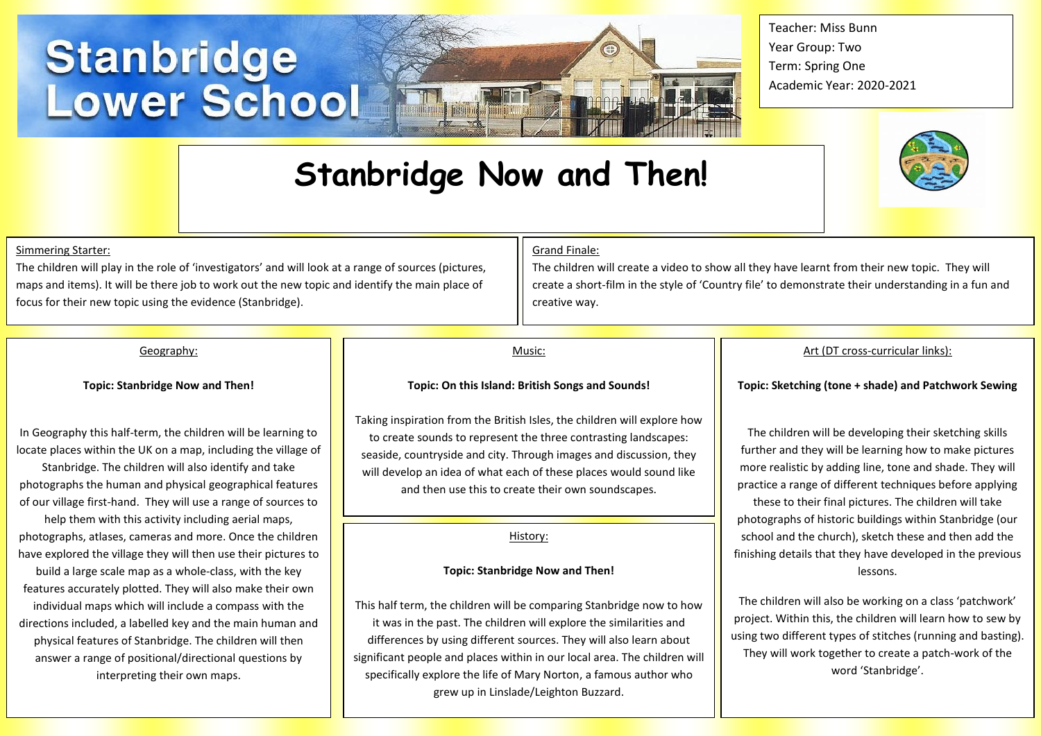# **Stanbridge<br>Lower School**

# **Stanbridge Now and Then!**

henbikoi fitti itt

Teacher: Miss Bunn Year Group: Two Term: Spring One Academic Year: 2020-2021



### Simmering Starter:

The children will play in the role of 'investigators' and will look at a range of sources (pictures, maps and items). It will be there job to work out the new topic and identify the main place of focus for their new topic using the evidence (Stanbridge).

### Grand Finale:

The children will create a video to show all they have learnt from their new topic. They will create a short-film in the style of 'Country file' to demonstrate their understanding in a fun and creative way.

## Geography:

**Topic: Stanbridge Now and Then!**

In Geography this half-term, the children will be learning to locate places within the UK on a map, including the village of

Stanbridge. The children will also identify and take photographs the human and physical geographical features of our village first-hand. They will use a range of sources to help them with this activity including aerial maps, photographs, atlases, cameras and more. Once the children have explored the village they will then use their pictures to

build a large scale map as a whole-class, with the key features accurately plotted. They will also make their own individual maps which will include a compass with the directions included, a labelled key and the main human and physical features of Stanbridge. The children will then answer a range of positional/directional questions by interpreting their own maps.

### Music:

### **Topic: On this Island: British Songs and Sounds!**

Taking inspiration from the British Isles, the children will explore how to create sounds to represent the three contrasting landscapes: seaside, countryside and city. Through images and discussion, they will develop an idea of what each of these places would sound like and then use this to create their own soundscapes.

### History:

### **Topic: Stanbridge Now and Then!**

This half term, the children will be comparing Stanbridge now to how it was in the past. The children will explore the similarities and differences by using different sources. They will also learn about significant people and places within in our local area. The children will specifically explore the life of Mary Norton, a famous author who grew up in Linslade/Leighton Buzzard.

### Art (DT cross-curricular links):

**Topic: Sketching (tone + shade) and Patchwork Sewing**

The children will be developing their sketching skills further and they will be learning how to make pictures more realistic by adding line, tone and shade. They will practice a range of different techniques before applying these to their final pictures. The children will take photographs of historic buildings within Stanbridge (our school and the church), sketch these and then add the finishing details that they have developed in the previous lessons.

The children will also be working on a class 'patchwork' project. Within this, the children will learn how to sew by using two different types of stitches (running and basting). They will work together to create a patch-work of the word 'Stanbridge'.